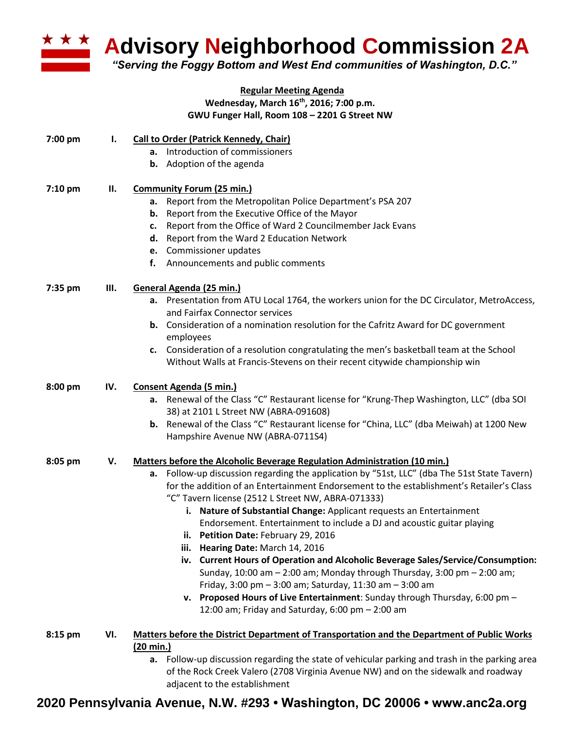

**Advisory Neighborhood Commission 2A** 

*"Serving the Foggy Bottom and West End communities of Washington, D.C."*

## **Regular Meeting Agenda Wednesday, March 16th, 2016; 7:00 p.m. GWU Funger Hall, Room 108 – 2201 G Street NW**

| 7:00 pm | I.  | <b>Call to Order (Patrick Kennedy, Chair)</b>                                                                                                                                           |
|---------|-----|-----------------------------------------------------------------------------------------------------------------------------------------------------------------------------------------|
|         |     | a. Introduction of commissioners                                                                                                                                                        |
|         |     | Adoption of the agenda<br>b.                                                                                                                                                            |
| 7:10 pm | П.  | <b>Community Forum (25 min.)</b>                                                                                                                                                        |
|         |     | Report from the Metropolitan Police Department's PSA 207<br>а.                                                                                                                          |
|         |     | Report from the Executive Office of the Mayor<br>b.                                                                                                                                     |
|         |     | Report from the Office of Ward 2 Councilmember Jack Evans<br>c.                                                                                                                         |
|         |     | Report from the Ward 2 Education Network<br>d.                                                                                                                                          |
|         |     | e. Commissioner updates                                                                                                                                                                 |
|         |     | Announcements and public comments<br>f.                                                                                                                                                 |
| 7:35 pm | Ш.  | General Agenda (25 min.)                                                                                                                                                                |
|         |     | a. Presentation from ATU Local 1764, the workers union for the DC Circulator, MetroAccess,<br>and Fairfax Connector services                                                            |
|         |     | <b>b.</b> Consideration of a nomination resolution for the Cafritz Award for DC government<br>employees                                                                                 |
|         |     | Consideration of a resolution congratulating the men's basketball team at the School<br>c.                                                                                              |
|         |     | Without Walls at Francis-Stevens on their recent citywide championship win                                                                                                              |
| 8:00 pm | IV. | <b>Consent Agenda (5 min.)</b>                                                                                                                                                          |
|         |     | a. Renewal of the Class "C" Restaurant license for "Krung-Thep Washington, LLC" (dba SOI                                                                                                |
|         |     | 38) at 2101 L Street NW (ABRA-091608)                                                                                                                                                   |
|         |     | b. Renewal of the Class "C" Restaurant license for "China, LLC" (dba Meiwah) at 1200 New                                                                                                |
|         |     | Hampshire Avenue NW (ABRA-0711S4)                                                                                                                                                       |
| 8:05 pm | V.  | Matters before the Alcoholic Beverage Regulation Administration (10 min.)                                                                                                               |
|         |     | Follow-up discussion regarding the application by "51st, LLC" (dba The 51st State Tavern)<br>а.                                                                                         |
|         |     | for the addition of an Entertainment Endorsement to the establishment's Retailer's Class                                                                                                |
|         |     | "C" Tavern license (2512 L Street NW, ABRA-071333)                                                                                                                                      |
|         |     | Nature of Substantial Change: Applicant requests an Entertainment<br>i.                                                                                                                 |
|         |     | Endorsement. Entertainment to include a DJ and acoustic guitar playing                                                                                                                  |
|         |     | ii. Petition Date: February 29, 2016                                                                                                                                                    |
|         |     | iii. Hearing Date: March 14, 2016                                                                                                                                                       |
|         |     | iv. Current Hours of Operation and Alcoholic Beverage Sales/Service/Consumption:                                                                                                        |
|         |     | Sunday, 10:00 am - 2:00 am; Monday through Thursday, 3:00 pm - 2:00 am;                                                                                                                 |
|         |     | Friday, 3:00 pm - 3:00 am; Saturday, 11:30 am - 3:00 am                                                                                                                                 |
|         |     | v. Proposed Hours of Live Entertainment: Sunday through Thursday, 6:00 pm -                                                                                                             |
|         |     | 12:00 am; Friday and Saturday, 6:00 pm - 2:00 am                                                                                                                                        |
| 8:15 pm | VI. | <b>Matters before the District Department of Transportation and the Department of Public Works</b>                                                                                      |
|         |     | (20 min.)                                                                                                                                                                               |
|         |     | a. Follow-up discussion regarding the state of vehicular parking and trash in the parking area<br>of the Beak Creak Valore (2700 Virginia Avenue NIM) and an the side unly and ready ou |

of the Rock Creek Valero (2708 Virginia Avenue NW) and on the sidewalk and roadway adjacent to the establishment

## **2020 Pennsylvania Avenue, N.W. #293 • Washington, DC 20006 • www.anc2a.org**